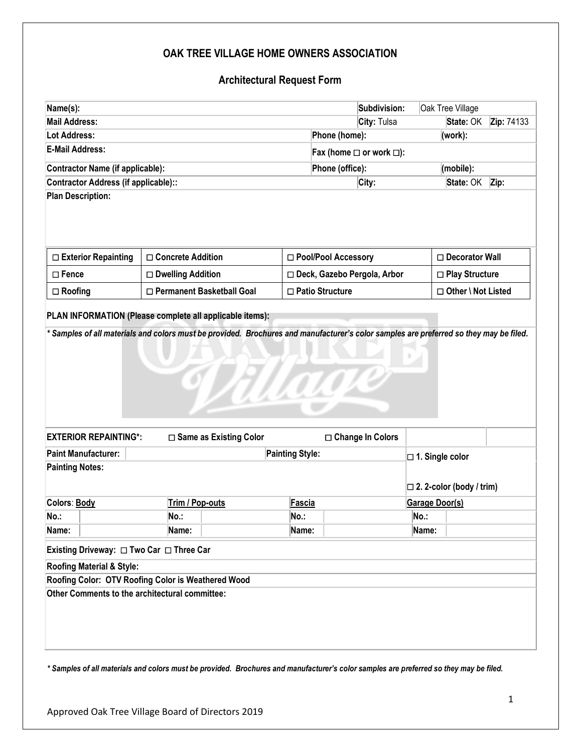## **OAK TREE VILLAGE HOME OWNERS ASSOCIATION**

## **Architectural Request Form**

| Name(s):                                                                                                     |                                                    |                               | Subdivision:                       | Oak Tree Village                                                |                  |            |
|--------------------------------------------------------------------------------------------------------------|----------------------------------------------------|-------------------------------|------------------------------------|-----------------------------------------------------------------|------------------|------------|
| <b>Mail Address:</b>                                                                                         |                                                    |                               | City: Tulsa                        |                                                                 | State: OK        | Zip: 74133 |
| <b>Lot Address:</b>                                                                                          |                                                    |                               | Phone (home):<br>(work):           |                                                                 |                  |            |
| <b>E-Mail Address:</b>                                                                                       |                                                    |                               | Fax (home $\Box$ or work $\Box$ ): |                                                                 |                  |            |
| <b>Contractor Name (if applicable):</b>                                                                      |                                                    |                               | Phone (office):<br>(mobile):       |                                                                 |                  |            |
| <b>Contractor Address (if applicable)::</b>                                                                  |                                                    |                               | City:                              |                                                                 | State: OK        | Zip:       |
|                                                                                                              |                                                    |                               |                                    |                                                                 |                  |            |
| □ Exterior Repainting                                                                                        | □ Concrete Addition                                | □ Pool/Pool Accessory         |                                    |                                                                 | □ Decorator Wall |            |
| $\square$ Fence                                                                                              | □ Dwelling Addition                                | □ Deck, Gazebo Pergola, Arbor |                                    |                                                                 | □ Play Structure |            |
| $\Box$ Roofing                                                                                               | □ Permanent Basketball Goal                        | □ Patio Structure             |                                    | □ Other \ Not Listed                                            |                  |            |
|                                                                                                              |                                                    | TITLE                         |                                    |                                                                 |                  |            |
|                                                                                                              |                                                    |                               |                                    |                                                                 |                  |            |
|                                                                                                              | □ Same as Existing Color                           |                               | □ Change In Colors                 |                                                                 |                  |            |
|                                                                                                              |                                                    | <b>Painting Style:</b>        |                                    | $\square$ 1. Single color<br>$\square$ 2. 2-color (body / trim) |                  |            |
|                                                                                                              | Trim / Pop-outs                                    | Fascia                        |                                    | Garage Door(s)                                                  |                  |            |
| <b>EXTERIOR REPAINTING*:</b><br><b>Paint Manufacturer:</b><br><b>Painting Notes:</b><br>Colors: Body<br>No.: | No.:                                               | No.:                          |                                    | No.:                                                            |                  |            |
|                                                                                                              | Name:                                              | Name:                         |                                    | Name:                                                           |                  |            |
|                                                                                                              |                                                    |                               |                                    |                                                                 |                  |            |
|                                                                                                              |                                                    |                               |                                    |                                                                 |                  |            |
| Name:<br>Existing Driveway: □ Two Car □ Three Car<br>Roofing Material & Style:                               | Roofing Color: OTV Roofing Color is Weathered Wood |                               |                                    |                                                                 |                  |            |

*\* Samples of all materials and colors must be provided. Brochures and manufacturer's color samples are preferred so they may be filed.*